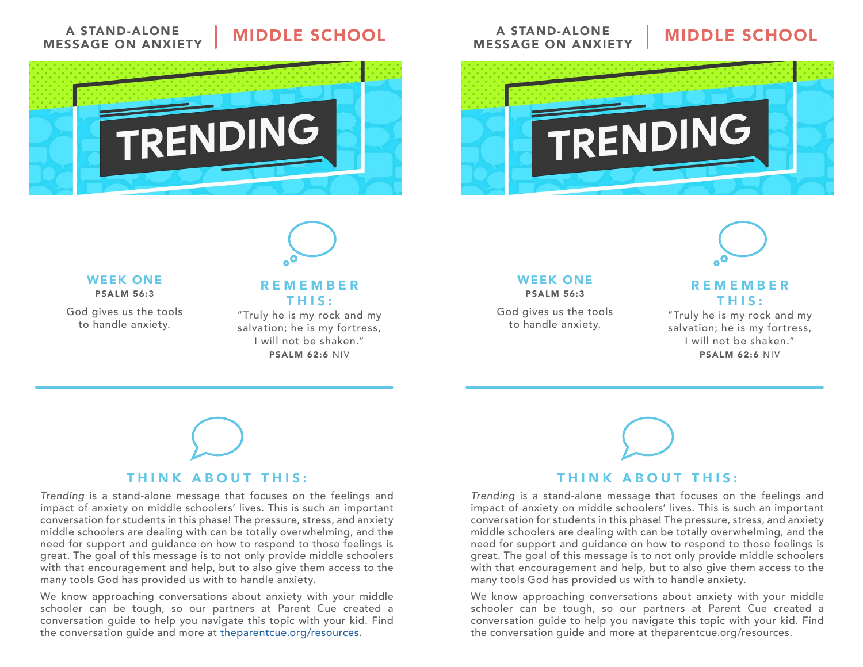### A STAND-ALONE MESSAGE ON ANXIETY

## **MIDDLE SCHOOL**





#### WEEK ONE PSALM 56:3

God gives us the tools to handle anxiety.

### REMEMBER THIS:

"Truly he is my rock and my salvation; he is my fortress, I will not be shaken." PSALM 62:6 NIV

## THINK ABOUT THIS:

Trending is a stand-alone message that focuses on the feelings and impact of anxiety on middle schoolers' lives. This is such an important conversation for students in this phase! The pressure, stress, and anxiety middle schoolers are dealing with can be totally overwhelming, and the need for support and guidance on how to respond to those feelings is great. The goal of this message is to not only provide middle schoolers with that encouragement and help, but to also give them access to the many tools God has provided us with to handle anxiety.

We know approaching conversations about anxiety with your middle schooler can be tough, so our partners at Parent Cue created a conversation guide to help you navigate this topic with your kid. Find the conversation guide and more at [theparentcue.org/resources.](http://theparentcue.org/resources)